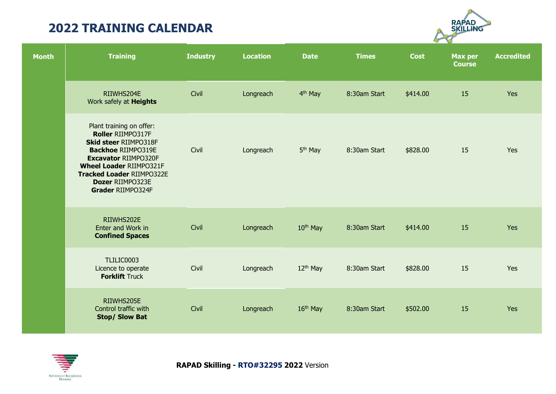

| <b>Month</b> | <b>Training</b>                                                                                                                                                                                                                                          | <b>Industry</b> | <b>Location</b> | <b>Date</b>          | <b>Times</b> | <b>Cost</b> | <b>Max per</b><br><b>Course</b> | <b>Accredited</b> |
|--------------|----------------------------------------------------------------------------------------------------------------------------------------------------------------------------------------------------------------------------------------------------------|-----------------|-----------------|----------------------|--------------|-------------|---------------------------------|-------------------|
|              | RIIWHS204E<br>Work safely at <b>Heights</b>                                                                                                                                                                                                              | Civil           | Longreach       | 4 <sup>th</sup> May  | 8:30am Start | \$414.00    | 15                              | Yes               |
|              | Plant training on offer:<br>Roller RIIMPO317F<br><b>Skid steer RIIMPO318F</b><br><b>Backhoe RIIMPO319E</b><br><b>Excavator RIIMPO320F</b><br><b>Wheel Loader RIIMPO321F</b><br><b>Tracked Loader RIIMPO322E</b><br>Dozer RIIMPO323E<br>Grader RIIMPO324F | Civil           | Longreach       | 5 <sup>th</sup> May  | 8:30am Start | \$828.00    | 15                              | Yes               |
|              | RIIWHS202E<br>Enter and Work in<br><b>Confined Spaces</b>                                                                                                                                                                                                | Civil           | Longreach       | $10th$ May           | 8:30am Start | \$414.00    | 15                              | Yes               |
|              | TLILIC0003<br>Licence to operate<br><b>Forklift Truck</b>                                                                                                                                                                                                | Civil           | Longreach       | $12th$ May           | 8:30am Start | \$828.00    | 15                              | Yes               |
|              | RIIWHS205E<br>Control traffic with<br><b>Stop/ Slow Bat</b>                                                                                                                                                                                              | Civil           | Longreach       | 16 <sup>th</sup> May | 8:30am Start | \$502.00    | 15                              | Yes               |

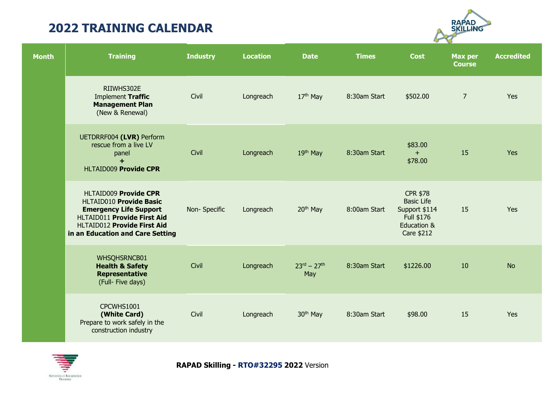

| <b>Month</b> | <b>Training</b>                                                                                                                                                                                          | <b>Industry</b> | <b>Location</b> | <b>Date</b>                | <b>Times</b> | <b>Cost</b>                                                                                      | <b>Max per</b><br><b>Course</b> | <b>Accredited</b> |
|--------------|----------------------------------------------------------------------------------------------------------------------------------------------------------------------------------------------------------|-----------------|-----------------|----------------------------|--------------|--------------------------------------------------------------------------------------------------|---------------------------------|-------------------|
|              | RIIWHS302E<br>Implement Traffic<br><b>Management Plan</b><br>(New & Renewal)                                                                                                                             | Civil           | Longreach       | 17 <sup>th</sup> May       | 8:30am Start | \$502.00                                                                                         | $\overline{7}$                  | Yes               |
|              | UETDRRF004 (LVR) Perform<br>rescue from a live LV<br>panel<br>$+$<br><b>HLTAID009 Provide CPR</b>                                                                                                        | Civil           | Longreach       | 19th May                   | 8:30am Start | \$83.00<br>$+$<br>\$78.00                                                                        | 15                              | Yes               |
|              | <b>HLTAID009 Provide CPR</b><br><b>HLTAID010 Provide Basic</b><br><b>Emergency Life Support</b><br><b>HLTAID011 Provide First Aid</b><br>HLTAID012 Provide First Aid<br>in an Education and Care Setting | Non-Specific    | Longreach       | 20 <sup>th</sup> May       | 8:00am Start | <b>CPR \$78</b><br><b>Basic Life</b><br>Support \$114<br>Full \$176<br>Education &<br>Care \$212 | 15                              | Yes               |
|              | WHSQHSRNCB01<br><b>Health &amp; Safety</b><br><b>Representative</b><br>(Full- Five days)                                                                                                                 | Civil           | Longreach       | $23^{rd} - 27^{th}$<br>May | 8:30am Start | \$1226.00                                                                                        | 10                              | <b>No</b>         |
|              | CPCWHS1001<br>(White Card)<br>Prepare to work safely in the<br>construction industry                                                                                                                     | Civil           | Longreach       | 30 <sup>th</sup> May       | 8:30am Start | \$98.00                                                                                          | 15                              | Yes               |

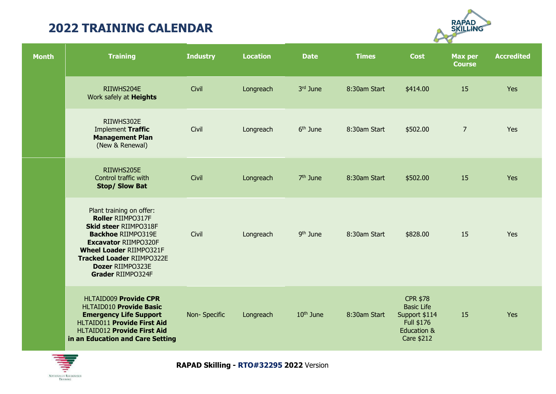

| <b>Month</b> | <b>Training</b>                                                                                                                                                                                                                                          | <b>Industry</b> | <b>Location</b> | <b>Date</b>          | <b>Times</b> | <b>Cost</b>                                                                                                        | <b>Max per</b><br><b>Course</b> | <b>Accredited</b> |
|--------------|----------------------------------------------------------------------------------------------------------------------------------------------------------------------------------------------------------------------------------------------------------|-----------------|-----------------|----------------------|--------------|--------------------------------------------------------------------------------------------------------------------|---------------------------------|-------------------|
|              | RIIWHS204E<br>Work safely at <b>Heights</b>                                                                                                                                                                                                              | Civil           | Longreach       | 3rd June             | 8:30am Start | \$414.00                                                                                                           | 15                              | Yes               |
|              | RIIWHS302E<br>Implement Traffic<br><b>Management Plan</b><br>(New & Renewal)                                                                                                                                                                             | Civil           | Longreach       | 6 <sup>th</sup> June | 8:30am Start | \$502.00                                                                                                           | $\overline{7}$                  | Yes               |
|              | RIIWHS205E<br>Control traffic with<br><b>Stop/ Slow Bat</b>                                                                                                                                                                                              | Civil           | Longreach       | $7th$ June           | 8:30am Start | \$502.00                                                                                                           | 15                              | Yes               |
|              | Plant training on offer:<br>Roller RIIMPO317F<br><b>Skid steer RIIMPO318F</b><br><b>Backhoe RIIMPO319E</b><br><b>Excavator RIIMPO320F</b><br><b>Wheel Loader RIIMPO321F</b><br><b>Tracked Loader RIIMPO322E</b><br>Dozer RIIMPO323E<br>Grader RIIMPO324F | Civil           | Longreach       | 9 <sup>th</sup> June | 8:30am Start | \$828.00                                                                                                           | 15                              | Yes               |
|              | <b>HLTAID009 Provide CPR</b><br><b>HLTAID010 Provide Basic</b><br><b>Emergency Life Support</b><br>HLTAID011 Provide First Aid<br>HLTAID012 Provide First Aid<br>in an Education and Care Setting                                                        | Non-Specific    | Longreach       | $10th$ June          | 8:30am Start | <b>CPR \$78</b><br><b>Basic Life</b><br>Support \$114<br>Full \$176<br><b>Education &amp;</b><br><b>Care \$212</b> | 15                              | Yes               |

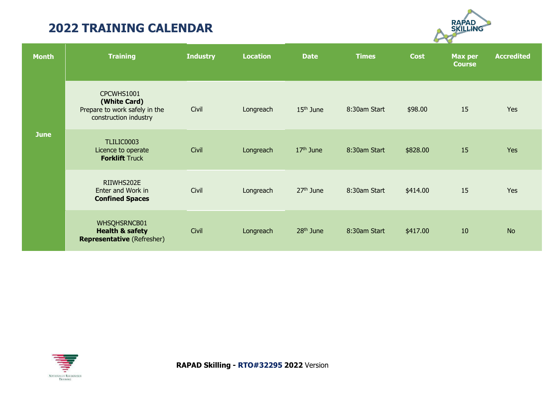

| <b>Month</b> | <b>Training</b>                                                                      | <b>Industry</b> | <b>Location</b> | <b>Date</b>           | <b>Times</b> | <b>Cost</b> | <b>Max per</b><br><b>Course</b> | <b>Accredited</b> |
|--------------|--------------------------------------------------------------------------------------|-----------------|-----------------|-----------------------|--------------|-------------|---------------------------------|-------------------|
|              | CPCWHS1001<br>(White Card)<br>Prepare to work safely in the<br>construction industry | Civil           | Longreach       | 15 <sup>th</sup> June | 8:30am Start | \$98.00     | 15                              | Yes               |
| <b>June</b>  | TLILIC0003<br>Licence to operate<br><b>Forklift Truck</b>                            | Civil           | Longreach       | $17th$ June           | 8:30am Start | \$828.00    | 15                              | <b>Yes</b>        |
|              | RIIWHS202E<br>Enter and Work in<br><b>Confined Spaces</b>                            | Civil           | Longreach       | 27 <sup>th</sup> June | 8:30am Start | \$414.00    | 15                              | Yes               |
|              | WHSQHSRNCB01<br><b>Health &amp; safety</b><br><b>Representative (Refresher)</b>      | Civil           | Longreach       | $28th$ June           | 8:30am Start | \$417.00    | 10                              | <b>No</b>         |

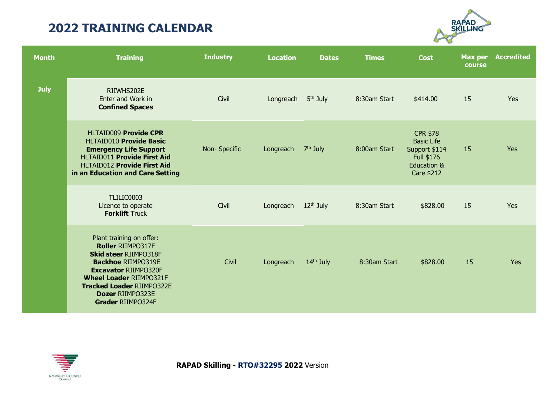

| <b>Month</b> | <b>Training</b>                                                                                                                                                                                                                                                 | <b>Industry</b> | <b>Location</b> | <b>Dates</b>          | <b>Times</b> | <b>Cost</b>                                                                                      | <b>Max per</b><br>course | <b>Accredited</b> |
|--------------|-----------------------------------------------------------------------------------------------------------------------------------------------------------------------------------------------------------------------------------------------------------------|-----------------|-----------------|-----------------------|--------------|--------------------------------------------------------------------------------------------------|--------------------------|-------------------|
| <b>July</b>  | RIIWHS202E<br>Enter and Work in<br><b>Confined Spaces</b>                                                                                                                                                                                                       | Civil           | Longreach       | 5 <sup>th</sup> July  | 8:30am Start | \$414.00                                                                                         | 15                       | Yes               |
|              | <b>HLTAID009 Provide CPR</b><br>HLTAID010 Provide Basic<br><b>Emergency Life Support</b><br><b>HLTAID011 Provide First Aid</b><br><b>HLTAID012 Provide First Aid</b><br>in an Education and Care Setting                                                        | Non-Specific    | Longreach       | $7th$ July            | 8:00am Start | <b>CPR \$78</b><br><b>Basic Life</b><br>Support \$114<br>Full \$176<br>Education &<br>Care \$212 | 15                       | Yes               |
|              | TLILIC0003<br>Licence to operate<br><b>Forklift Truck</b>                                                                                                                                                                                                       | Civil           | Longreach       | 12 <sup>th</sup> July | 8:30am Start | \$828.00                                                                                         | 15                       | Yes               |
|              | Plant training on offer:<br><b>Roller RIIMPO317F</b><br><b>Skid steer RIIMPO318F</b><br><b>Backhoe RIIMPO319E</b><br><b>Excavator RIIMPO320F</b><br><b>Wheel Loader RIIMPO321F</b><br><b>Tracked Loader RIIMPO322E</b><br>Dozer RIIMPO323E<br>Grader RIIMPO324F | Civil           | Longreach       | 14 <sup>th</sup> July | 8:30am Start | \$828.00                                                                                         | 15                       | Yes               |

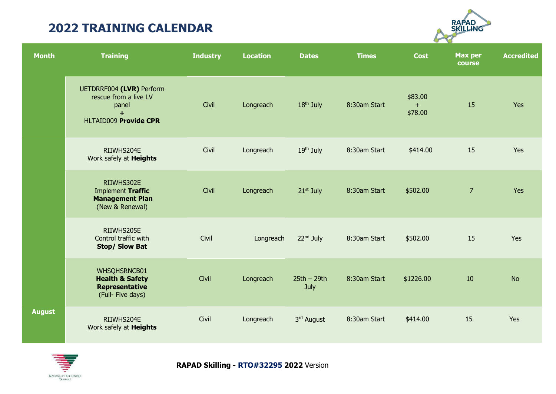

| <b>Month</b>  | <b>Training</b>                                                                                   | <b>Industry</b> | <b>Location</b> | <b>Dates</b>          | <b>Times</b> | <b>Cost</b>               | <b>Max per</b><br>course | <b>Accredited</b> |
|---------------|---------------------------------------------------------------------------------------------------|-----------------|-----------------|-----------------------|--------------|---------------------------|--------------------------|-------------------|
|               | UETDRRF004 (LVR) Perform<br>rescue from a live LV<br>panel<br>$+$<br><b>HLTAID009 Provide CPR</b> | Civil           | Longreach       | 18 <sup>th</sup> July | 8:30am Start | \$83.00<br>$+$<br>\$78.00 | 15                       | Yes               |
|               | RIIWHS204E<br>Work safely at <b>Heights</b>                                                       | Civil           | Longreach       | 19 <sup>th</sup> July | 8:30am Start | \$414.00                  | 15                       | Yes               |
|               | RIIWHS302E<br>Implement Traffic<br><b>Management Plan</b><br>(New & Renewal)                      | Civil           | Longreach       | 21 <sup>st</sup> July | 8:30am Start | \$502.00                  | $\overline{7}$           | Yes               |
|               | RIIWHS205E<br>Control traffic with<br><b>Stop/ Slow Bat</b>                                       | Civil           | Longreach       | 22 <sup>nd</sup> July | 8:30am Start | \$502.00                  | 15                       | Yes               |
|               | WHSQHSRNCB01<br><b>Health &amp; Safety</b><br><b>Representative</b><br>(Full- Five days)          | Civil           | Longreach       | $25th - 29th$<br>July | 8:30am Start | \$1226.00                 | 10                       | <b>No</b>         |
| <b>August</b> | RIIWHS204E<br>Work safely at <b>Heights</b>                                                       | Civil           | Longreach       | 3rd August            | 8:30am Start | \$414.00                  | 15                       | Yes               |

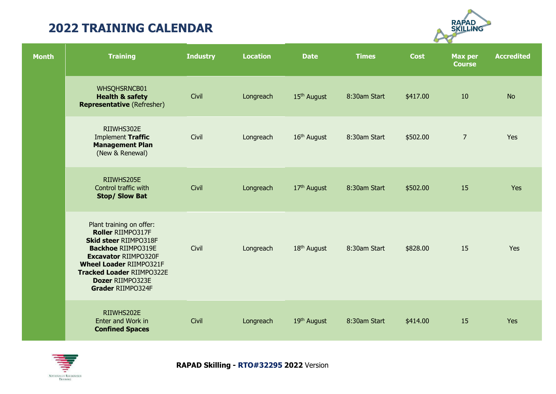

| <b>Month</b> | <b>Training</b>                                                                                                                                                                                                                                          | <b>Industry</b> | <b>Location</b> | <b>Date</b>             | <b>Times</b> | <b>Cost</b> | <b>Max per</b><br><b>Course</b> | <b>Accredited</b> |
|--------------|----------------------------------------------------------------------------------------------------------------------------------------------------------------------------------------------------------------------------------------------------------|-----------------|-----------------|-------------------------|--------------|-------------|---------------------------------|-------------------|
|              | WHSQHSRNCB01<br><b>Health &amp; safety</b><br><b>Representative (Refresher)</b>                                                                                                                                                                          | Civil           | Longreach       | 15 <sup>th</sup> August | 8:30am Start | \$417.00    | 10                              | <b>No</b>         |
|              | RIIWHS302E<br>Implement Traffic<br><b>Management Plan</b><br>(New & Renewal)                                                                                                                                                                             | Civil           | Longreach       | 16 <sup>th</sup> August | 8:30am Start | \$502.00    | $\overline{7}$                  | Yes               |
|              | RIIWHS205E<br>Control traffic with<br><b>Stop/ Slow Bat</b>                                                                                                                                                                                              | Civil           | Longreach       | 17 <sup>th</sup> August | 8:30am Start | \$502.00    | 15                              | Yes               |
|              | Plant training on offer:<br>Roller RIIMPO317F<br><b>Skid steer RIIMPO318F</b><br><b>Backhoe RIIMPO319E</b><br><b>Excavator RIIMPO320F</b><br><b>Wheel Loader RIIMPO321F</b><br><b>Tracked Loader RIIMPO322E</b><br>Dozer RIIMPO323E<br>Grader RIIMPO324F | Civil           | Longreach       | 18 <sup>th</sup> August | 8:30am Start | \$828.00    | 15                              | <b>Yes</b>        |
|              | RIIWHS202E<br>Enter and Work in<br><b>Confined Spaces</b>                                                                                                                                                                                                | Civil           | Longreach       | 19 <sup>th</sup> August | 8:30am Start | \$414.00    | 15                              | Yes               |

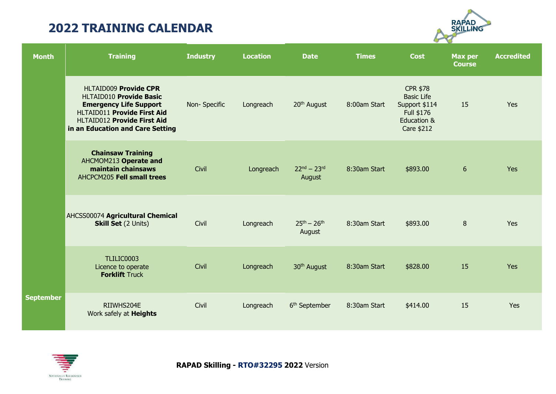

| <b>Month</b>     | <b>Training</b>                                                                                                                                                                                          | <b>Industry</b> | <b>Location</b> | <b>Date</b>                   | <b>Times</b> | <b>Cost</b>                                                                                      | Max per<br><b>Course</b> | <b>Accredited</b> |
|------------------|----------------------------------------------------------------------------------------------------------------------------------------------------------------------------------------------------------|-----------------|-----------------|-------------------------------|--------------|--------------------------------------------------------------------------------------------------|--------------------------|-------------------|
|                  | <b>HLTAID009 Provide CPR</b><br>HLTAID010 Provide Basic<br><b>Emergency Life Support</b><br><b>HLTAID011 Provide First Aid</b><br><b>HLTAID012 Provide First Aid</b><br>in an Education and Care Setting | Non-Specific    | Longreach       | 20 <sup>th</sup> August       | 8:00am Start | <b>CPR \$78</b><br><b>Basic Life</b><br>Support \$114<br>Full \$176<br>Education &<br>Care \$212 | 15                       | Yes               |
|                  | <b>Chainsaw Training</b><br>AHCMOM213 Operate and<br>maintain chainsaws<br>AHCPCM205 Fell small trees                                                                                                    | Civil           | Longreach       | $22^{nd} - 23^{rd}$<br>August | 8:30am Start | \$893.00                                                                                         | 6                        | Yes               |
|                  | AHCSS00074 Agricultural Chemical<br><b>Skill Set</b> (2 Units)                                                                                                                                           | Civil           | Longreach       | $25^{th} - 26^{th}$<br>August | 8:30am Start | \$893.00                                                                                         | 8                        | Yes               |
|                  | TLILIC0003<br>Licence to operate<br><b>Forklift Truck</b>                                                                                                                                                | Civil           | Longreach       | 30 <sup>th</sup> August       | 8:30am Start | \$828.00                                                                                         | 15                       | Yes               |
| <b>September</b> | RIIWHS204E<br>Work safely at <b>Heights</b>                                                                                                                                                              | Civil           | Longreach       | 6 <sup>th</sup> September     | 8:30am Start | \$414.00                                                                                         | 15                       | Yes               |

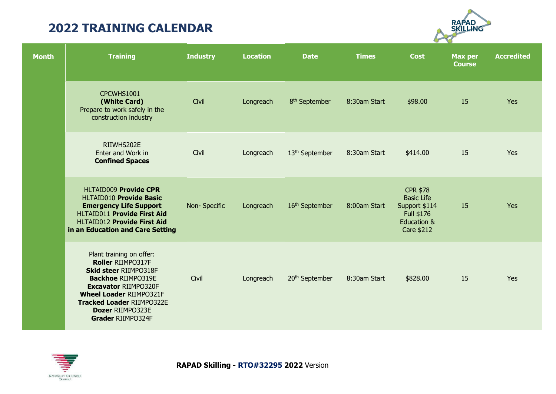

| <b>Month</b> | <b>Training</b>                                                                                                                                                                                                                                                 | <b>Industry</b> | <b>Location</b> | <b>Date</b>                | <b>Times</b> | <b>Cost</b>                                                                                      | <b>Max per</b><br><b>Course</b> | <b>Accredited</b> |
|--------------|-----------------------------------------------------------------------------------------------------------------------------------------------------------------------------------------------------------------------------------------------------------------|-----------------|-----------------|----------------------------|--------------|--------------------------------------------------------------------------------------------------|---------------------------------|-------------------|
|              | CPCWHS1001<br>(White Card)<br>Prepare to work safely in the<br>construction industry                                                                                                                                                                            | Civil           | Longreach       | 8 <sup>th</sup> September  | 8:30am Start | \$98.00                                                                                          | 15                              | Yes               |
|              | RIIWHS202E<br>Enter and Work in<br><b>Confined Spaces</b>                                                                                                                                                                                                       | Civil           | Longreach       | 13 <sup>th</sup> September | 8:30am Start | \$414.00                                                                                         | 15                              | Yes               |
|              | <b>HLTAID009 Provide CPR</b><br>HLTAID010 Provide Basic<br><b>Emergency Life Support</b><br><b>HLTAID011 Provide First Aid</b><br><b>HLTAID012 Provide First Aid</b><br>in an Education and Care Setting                                                        | Non-Specific    | Longreach       | 16 <sup>th</sup> September | 8:00am Start | <b>CPR \$78</b><br><b>Basic Life</b><br>Support \$114<br>Full \$176<br>Education &<br>Care \$212 | 15                              | Yes               |
|              | Plant training on offer:<br><b>Roller RIIMPO317F</b><br><b>Skid steer RIIMPO318F</b><br><b>Backhoe RIIMPO319E</b><br><b>Excavator RIIMPO320F</b><br><b>Wheel Loader RIIMPO321F</b><br><b>Tracked Loader RIIMPO322E</b><br>Dozer RIIMPO323E<br>Grader RIIMPO324F | Civil           | Longreach       | 20 <sup>th</sup> September | 8:30am Start | \$828.00                                                                                         | 15                              | Yes               |

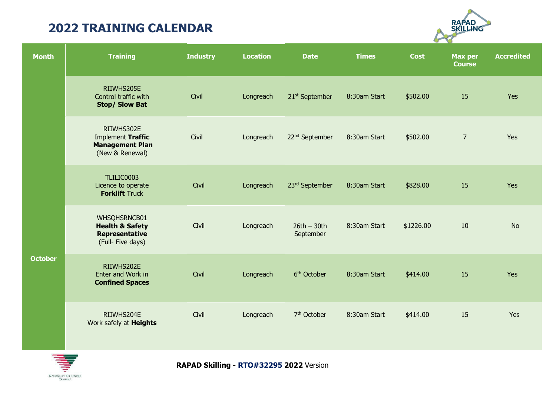

| <b>Month</b>   | <b>Training</b>                                                                          | <b>Industry</b> | <b>Location</b> | <b>Date</b>                | <b>Times</b> | <b>Cost</b> | <b>Max per</b><br><b>Course</b> | <b>Accredited</b> |
|----------------|------------------------------------------------------------------------------------------|-----------------|-----------------|----------------------------|--------------|-------------|---------------------------------|-------------------|
|                | RIIWHS205E<br>Control traffic with<br><b>Stop/ Slow Bat</b>                              | Civil           | Longreach       | 21 <sup>st</sup> September | 8:30am Start | \$502.00    | 15                              | Yes               |
|                | RIIWHS302E<br>Implement Traffic<br><b>Management Plan</b><br>(New & Renewal)             | Civil           | Longreach       | 22 <sup>nd</sup> September | 8:30am Start | \$502.00    | $\overline{7}$                  | Yes               |
|                | TLILIC0003<br>Licence to operate<br><b>Forklift Truck</b>                                | Civil           | Longreach       | 23rd September             | 8:30am Start | \$828.00    | 15                              | Yes               |
|                | WHSQHSRNCB01<br><b>Health &amp; Safety</b><br><b>Representative</b><br>(Full- Five days) | Civil           | Longreach       | $26th - 30th$<br>September | 8:30am Start | \$1226.00   | 10                              | <b>No</b>         |
| <b>October</b> | RIIWHS202E<br>Enter and Work in<br><b>Confined Spaces</b>                                | Civil           | Longreach       | 6 <sup>th</sup> October    | 8:30am Start | \$414.00    | 15                              | Yes               |
|                | RIIWHS204E<br>Work safely at <b>Heights</b>                                              | Civil           | Longreach       | 7 <sup>th</sup> October    | 8:30am Start | \$414.00    | 15                              | Yes               |

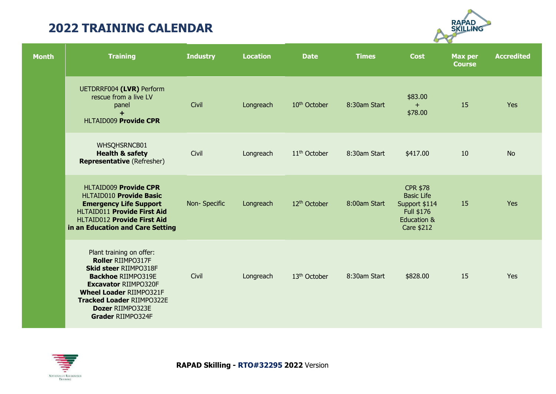

| <b>Month</b> | <b>Training</b>                                                                                                                                                                                                                                                 | <b>Industry</b> | <b>Location</b> | <b>Date</b>              | <b>Times</b> | <b>Cost</b>                                                                                                 | <b>Max per</b><br><b>Course</b> | <b>Accredited</b> |
|--------------|-----------------------------------------------------------------------------------------------------------------------------------------------------------------------------------------------------------------------------------------------------------------|-----------------|-----------------|--------------------------|--------------|-------------------------------------------------------------------------------------------------------------|---------------------------------|-------------------|
|              | UETDRRF004 (LVR) Perform<br>rescue from a live LV<br>panel<br>$+$<br><b>HLTAID009 Provide CPR</b>                                                                                                                                                               | Civil           | Longreach       | 10 <sup>th</sup> October | 8:30am Start | \$83.00<br>$+$<br>\$78.00                                                                                   | 15                              | Yes               |
|              | WHSQHSRNCB01<br><b>Health &amp; safety</b><br><b>Representative</b> (Refresher)                                                                                                                                                                                 | Civil           | Longreach       | 11 <sup>th</sup> October | 8:30am Start | \$417.00                                                                                                    | 10                              | <b>No</b>         |
|              | <b>HLTAID009 Provide CPR</b><br>HLTAID010 Provide Basic<br><b>Emergency Life Support</b><br>HLTAID011 Provide First Aid<br><b>HLTAID012 Provide First Aid</b><br>in an Education and Care Setting                                                               | Non-Specific    | Longreach       | 12 <sup>th</sup> October | 8:00am Start | <b>CPR \$78</b><br><b>Basic Life</b><br>Support \$114<br>Full \$176<br><b>Education &amp;</b><br>Care \$212 | 15                              | Yes               |
|              | Plant training on offer:<br><b>Roller RIIMPO317F</b><br><b>Skid steer RIIMPO318F</b><br><b>Backhoe RIIMPO319E</b><br><b>Excavator RIIMPO320F</b><br><b>Wheel Loader RIIMPO321F</b><br><b>Tracked Loader RIIMPO322E</b><br>Dozer RIIMPO323E<br>Grader RIIMPO324F | Civil           | Longreach       | 13 <sup>th</sup> October | 8:30am Start | \$828.00                                                                                                    | 15                              | Yes               |

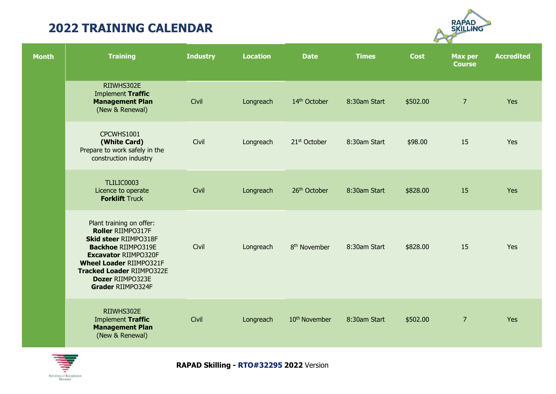

| <b>Month</b> | <b>Training</b>                                                                                                                                                                                                                                          | <b>Industry</b> | <b>Location</b> | <b>Date</b>               | <b>Times</b> | <b>Cost</b> | <b>Max per</b><br><b>Course</b> | <b>Accredited</b> |
|--------------|----------------------------------------------------------------------------------------------------------------------------------------------------------------------------------------------------------------------------------------------------------|-----------------|-----------------|---------------------------|--------------|-------------|---------------------------------|-------------------|
|              | RIIWHS302E<br>Implement Traffic<br><b>Management Plan</b><br>(New & Renewal)                                                                                                                                                                             | Civil           | Longreach       | 14th October              | 8:30am Start | \$502.00    | $\overline{7}$                  | Yes               |
|              | CPCWHS1001<br>(White Card)<br>Prepare to work safely in the<br>construction industry                                                                                                                                                                     | Civil           | Longreach       | 21 <sup>st</sup> October  | 8:30am Start | \$98.00     | 15                              | Yes               |
|              | TLILIC0003<br>Licence to operate<br><b>Forklift Truck</b>                                                                                                                                                                                                | Civil           | Longreach       | 26th October              | 8:30am Start | \$828.00    | 15                              | Yes               |
|              | Plant training on offer:<br>Roller RIIMPO317F<br><b>Skid steer RIIMPO318F</b><br><b>Backhoe RIIMPO319E</b><br><b>Excavator RIIMPO320F</b><br><b>Wheel Loader RIIMPO321F</b><br><b>Tracked Loader RIIMPO322E</b><br>Dozer RIIMPO323E<br>Grader RIIMPO324F | Civil           | Longreach       | 8 <sup>th</sup> November  | 8:30am Start | \$828.00    | 15                              | Yes               |
|              | RIIWHS302E<br>Implement Traffic<br><b>Management Plan</b><br>(New & Renewal)                                                                                                                                                                             | Civil           | Longreach       | 10 <sup>th</sup> November | 8:30am Start | \$502.00    | $\overline{7}$                  | Yes               |

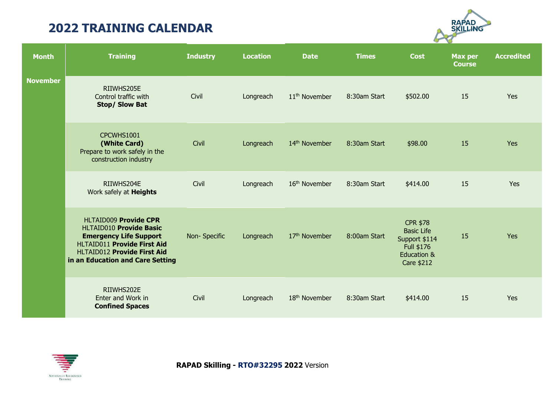

| <b>Month</b>    | <b>Training</b>                                                                                                                                                                                          | <b>Industry</b> | <b>Location</b> | <b>Date</b>               | <b>Times</b> | <b>Cost</b>                                                                                                        | <b>Max per</b><br><b>Course</b> | <b>Accredited</b> |
|-----------------|----------------------------------------------------------------------------------------------------------------------------------------------------------------------------------------------------------|-----------------|-----------------|---------------------------|--------------|--------------------------------------------------------------------------------------------------------------------|---------------------------------|-------------------|
| <b>November</b> | RIIWHS205E<br>Control traffic with<br><b>Stop/ Slow Bat</b>                                                                                                                                              | Civil           | Longreach       | 11 <sup>th</sup> November | 8:30am Start | \$502.00                                                                                                           | 15                              | Yes               |
|                 | CPCWHS1001<br>(White Card)<br>Prepare to work safely in the<br>construction industry                                                                                                                     | Civil           | Longreach       | 14 <sup>th</sup> November | 8:30am Start | \$98.00                                                                                                            | 15                              | <b>Yes</b>        |
|                 | RIIWHS204E<br>Work safely at <b>Heights</b>                                                                                                                                                              | Civil           | Longreach       | 16 <sup>th</sup> November | 8:30am Start | \$414.00                                                                                                           | 15                              | Yes               |
|                 | <b>HLTAID009 Provide CPR</b><br>HLTAID010 Provide Basic<br><b>Emergency Life Support</b><br><b>HLTAID011 Provide First Aid</b><br><b>HLTAID012 Provide First Aid</b><br>in an Education and Care Setting | Non-Specific    | Longreach       | 17th November             | 8:00am Start | <b>CPR \$78</b><br><b>Basic Life</b><br>Support \$114<br>Full \$176<br><b>Education &amp;</b><br><b>Care \$212</b> | 15                              | <b>Yes</b>        |
|                 | RIIWHS202E<br>Enter and Work in<br><b>Confined Spaces</b>                                                                                                                                                | Civil           | Longreach       | 18 <sup>th</sup> November | 8:30am Start | \$414.00                                                                                                           | 15                              | Yes               |

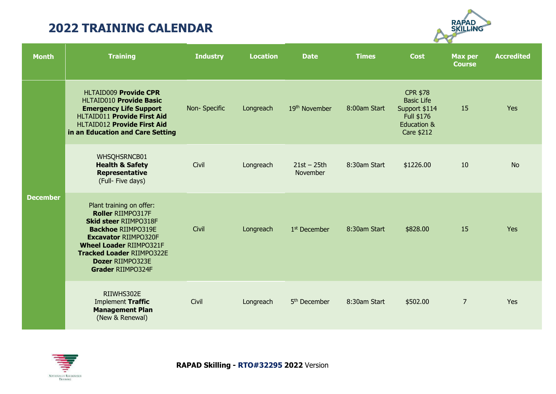

| <b>Month</b>    | <b>Training</b>                                                                                                                                                                                                                                                 | <b>Industry</b> | <b>Location</b> | <b>Date</b>               | <b>Times</b> | <b>Cost</b>                                                                                      | <b>Max per</b><br><b>Course</b> | <b>Accredited</b> |
|-----------------|-----------------------------------------------------------------------------------------------------------------------------------------------------------------------------------------------------------------------------------------------------------------|-----------------|-----------------|---------------------------|--------------|--------------------------------------------------------------------------------------------------|---------------------------------|-------------------|
| <b>December</b> | <b>HLTAID009 Provide CPR</b><br><b>HLTAID010 Provide Basic</b><br><b>Emergency Life Support</b><br>HLTAID011 Provide First Aid<br><b>HLTAID012 Provide First Aid</b><br>in an Education and Care Setting                                                        | Non-Specific    | Longreach       | 19 <sup>th</sup> November | 8:00am Start | <b>CPR \$78</b><br><b>Basic Life</b><br>Support \$114<br>Full \$176<br>Education &<br>Care \$212 | 15                              | Yes               |
|                 | WHSQHSRNCB01<br><b>Health &amp; Safety</b><br>Representative<br>(Full- Five days)                                                                                                                                                                               | Civil           | Longreach       | $21st - 25th$<br>November | 8:30am Start | \$1226.00                                                                                        | 10                              | <b>No</b>         |
|                 | Plant training on offer:<br><b>Roller RIIMPO317F</b><br><b>Skid steer RIIMPO318F</b><br><b>Backhoe RIIMPO319E</b><br><b>Excavator RIIMPO320F</b><br><b>Wheel Loader RIIMPO321F</b><br><b>Tracked Loader RIIMPO322E</b><br>Dozer RIIMPO323E<br>Grader RIIMPO324F | Civil           | Longreach       | 1 <sup>st</sup> December  | 8:30am Start | \$828.00                                                                                         | 15                              | Yes               |
|                 | RIIWHS302E<br>Implement Traffic<br><b>Management Plan</b><br>(New & Renewal)                                                                                                                                                                                    | Civil           | Longreach       | 5 <sup>th</sup> December  | 8:30am Start | \$502.00                                                                                         | $\overline{7}$                  | Yes               |

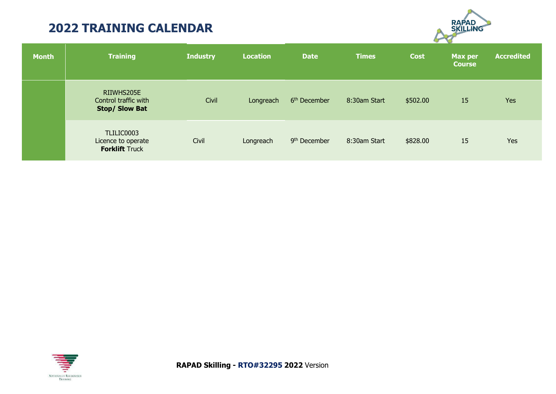

| <b>Month</b> | <b>Training</b>                                             | <b>Industry</b> | <b>Location</b> | <b>Date</b>              | <b>Times</b> | Cost     | Max per<br><b>Course</b> | <b>Accredited</b> |
|--------------|-------------------------------------------------------------|-----------------|-----------------|--------------------------|--------------|----------|--------------------------|-------------------|
|              | RIIWHS205E<br>Control traffic with<br><b>Stop/ Slow Bat</b> | Civil           | Longreach       | 6 <sup>th</sup> December | 8:30am Start | \$502.00 | 15                       | Yes               |
|              | TLILIC0003<br>Licence to operate<br><b>Forklift Truck</b>   | Civil           | Longreach       | 9 <sup>th</sup> December | 8:30am Start | \$828.00 | 15                       | Yes               |